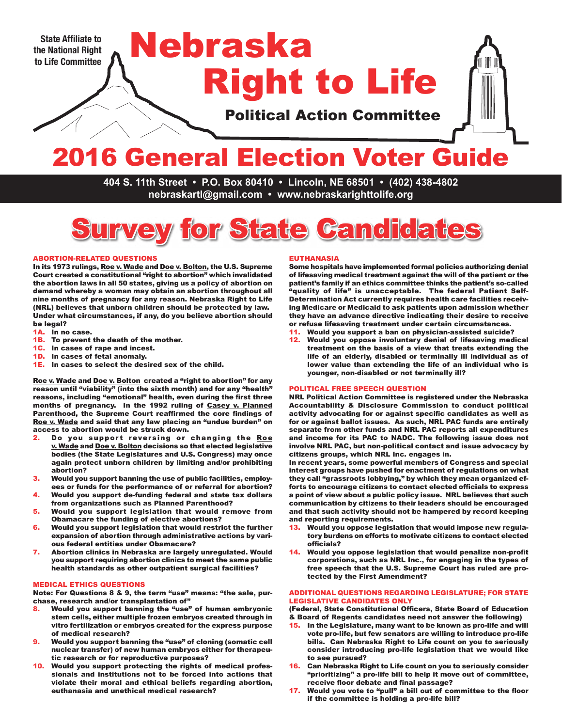**State Affiliate to the National Right to Life Committee** Political Action Committee Right to Life Nebraska

# 2016 General Election Voter Guide

**404 S. 11th Street • P.O. Box 80410 • Lincoln, NE 68501 • (402) 438-4802 nebraskartl@gmail.com • www.nebraskarighttolife.org**



#### ABORTION-RELATED QUESTIONS

In its 1973 rulings, Roe v. Wade and Doe v. Bolton, the U.S. Supreme Court created a constitutional "right to abortion" which invalidated the abortion laws in all 50 states, giving us a policy of abortion on demand whereby a woman may obtain an abortion throughout all nine months of pregnancy for any reason. Nebraska Right to Life (NRL) believes that unborn children should be protected by law. Under what circumstances, if any, do you believe abortion should be legal?

- 1A. In no case.
- **1B.** To prevent the death of the mother.<br>**1C.** In cases of rape and incest.
- In cases of rape and incest.
- 1D. In cases of fetal anomaly.
- 1E. In cases to select the desired sex of the child.

Roe v. Wade and Doe v. Bolton created a "right to abortion" for any reason until "viability" (into the sixth month) and for any "health" reasons, including "emotional" health, even during the first three months of pregnancy. In the 1992 ruling of Casey v. Planned Parenthood, the Supreme Court reaffirmed the core findings of Roe v. Wade and said that any law placing an "undue burden" on access to abortion would be struck down.

- 2. Do you support reversing or changing the Roe v. Wade and Doe v. Bolton decisions so that elected legislative bodies (the State Legislatures and U.S. Congress) may once again protect unborn children by limiting and/or prohibiting abortion?
- 3. Would you support banning the use of public facilities, employees or funds for the performance of or referral for abortion?
- 4. Would you support de-funding federal and state tax dollars from organizations such as Planned Parenthood?
- 5. Would you support legislation that would remove from Obamacare the funding of elective abortions?
- 6. Would you support legislation that would restrict the further expansion of abortion through administrative actions by various federal entities under Obamacare?
- 7. Abortion clinics in Nebraska are largely unregulated. Would you support requiring abortion clinics to meet the same public health standards as other outpatient surgical facilities?

#### MEDICAL ETHICS QUESTIONS

Note: For Questions 8 & 9, the term "use" means: "the sale, purchase, research and/or transplantation of"

- 8. Would you support banning the "use" of human embrvonic stem cells, either multiple frozen embryos created through in vitro fertilization or embryos created for the express purpose of medical research?
- 9. Would you support banning the "use" of cloning (somatic cell nuclear transfer) of new human embryos either for therapeutic research or for reproductive purposes?
- Would you support protecting the rights of medical professionals and institutions not to be forced into actions that violate their moral and ethical beliefs regarding abortion, euthanasia and unethical medical research?

#### EUTHANASIA

Some hospitals have implemented formal policies authorizing denial of lifesaving medical treatment against the will of the patient or the patient's family if an ethics committee thinks the patient's so-called "quality of life" is unacceptable. The federal Patient Self-Determination Act currently requires health care facilities receiving Medicare or Medicaid to ask patients upon admission whether they have an advance directive indicating their desire to receive or refuse lifesaving treatment under certain circumstances.

- 11. Would you support a ban on physician-assisted suicide?
- 12. Would you oppose involuntary denial of lifesaving medical treatment on the basis of a view that treats extending the life of an elderly, disabled or terminally ill individual as of lower value than extending the life of an individual who is younger, non-disabled or not terminally ill?

#### POLITICAL FREE SPEECH QUESTION

NRL Political Action Committee is registered under the Nebraska Accountability & Disclosure Commission to conduct political activity advocating for or against specific candidates as well as for or against ballot issues. As such, NRL PAC funds are entirely separate from other funds and NRL PAC reports all expenditures and income for its PAC to NADC. The following issue does not involve NRL PAC, but non-political contact and issue advocacy by citizens groups, which NRL Inc. engages in.

In recent years, some powerful members of Congress and special interest groups have pushed for enactment of regulations on what they call "grassroots lobbying," by which they mean organized efforts to encourage citizens to contact elected officials to express a point of view about a public policy issue. NRL believes that such communication by citizens to their leaders should be encouraged and that such activity should not be hampered by record keeping and reporting requirements.

- 13. Would you oppose legislation that would impose new regulatory burdens on efforts to motivate citizens to contact elected officials?
- 14. Would you oppose legislation that would penalize non-profit corporations, such as NRL Inc., for engaging in the types of free speech that the U.S. Supreme Court has ruled are protected by the First Amendment?

#### ADDITIONAL QUESTIONS REGARDING LEGISLATURE; FOR STATE LEGISLATIVE CANDIDATES ONLY

(Federal, State Constitutional Officers, State Board of Education & Board of Regents candidates need not answer the following)

- In the Legislature, many want to be known as pro-life and will vote pro-life, but few senators are willing to introduce pro-life bills. Can Nebraska Right to Life count on you to seriously consider introducing pro-life legislation that we would like to see pursued?
- 16. Can Nebraska Right to Life count on you to seriously consider "prioritizing" a pro-life bill to help it move out of committee, receive floor debate and final passage?
- 17. Would you vote to "pull" a bill out of committee to the floor if the committee is holding a pro-life bill?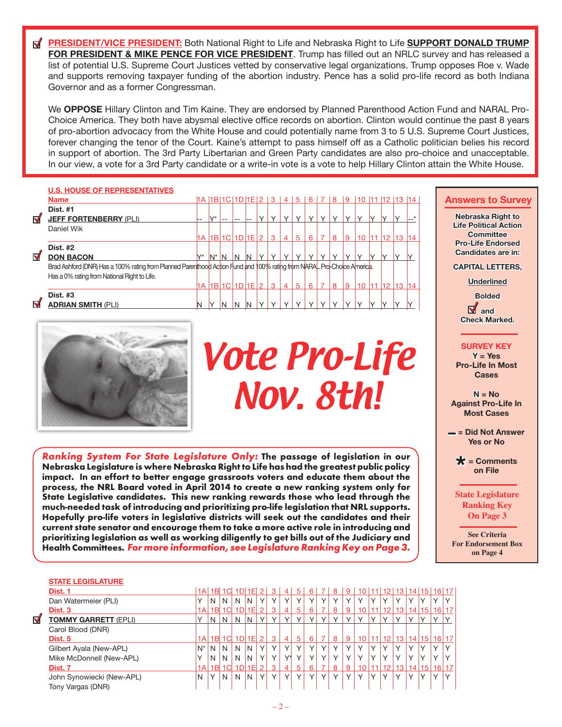**PRESIDENT/VICE PRESIDENT:** Both National Right to Life and Nebraska Right to Life **SUPPORT DONALD TRUMP FOR PRESIDENT & MIKE PENCE FOR VICE PRESIDENT**. Trump has filled out an NRLC survey and has released a list of potential U.S. Supreme Court Justices vetted by conservative legal organizations. Trump opposes Roe v. Wade and supports removing taxpayer funding of the abortion industry. Pence has a solid pro-life record as both Indiana Governor and as a former Congressman.

We **OPPOSE** Hillary Clinton and Tim Kaine. They are endorsed by Planned Parenthood Action Fund and NARAL Pro-Choice America. They both have abysmal elective office records on abortion. Clinton would continue the past 8 years of pro-abortion advocacy from the White House and could potentially name from 3 to 5 U.S. Supreme Court Justices, forever changing the tenor of the Court. Kaine's attempt to pass himself off as a Catholic politician belies his record in support of abortion. The 3rd Party Libertarian and Green Party candidates are also pro-choice and unacceptable. In our view, a vote for a 3rd Party candidate or a write-in vote is a vote to help Hillary Clinton attain the White House.

|                      | <b>U.S. HOUSE OF REPRESENTATIVES</b>                                                                                    |       |                           |      |                      |    |        |              |              |              |              |                          |              |              |                      |                |    |   |
|----------------------|-------------------------------------------------------------------------------------------------------------------------|-------|---------------------------|------|----------------------|----|--------|--------------|--------------|--------------|--------------|--------------------------|--------------|--------------|----------------------|----------------|----|---|
|                      | <b>Name</b>                                                                                                             |       |                           |      | 1A 1B 1C 1D 1E 2 3 4 |    |        |              |              | -5           | 6            | 7                        | 8            | 9            |                      | 10 11 12 13 14 |    | А |
|                      | <b>Dist. #1</b>                                                                                                         |       |                           |      |                      |    |        |              |              |              |              |                          |              |              |                      |                |    |   |
| $\blacktriangledown$ | <b>JEFF FORTENBERRY (PLI)</b>                                                                                           |       | $\mathsf{I} \mathsf{V}^*$ | $ -$ | --                   |    | $\vee$ | $\vee$       | $\checkmark$ | $\checkmark$ | $\vee$       | $\checkmark$             | $\checkmark$ | $\checkmark$ |                      |                |    |   |
|                      | Daniel Wik                                                                                                              |       |                           |      |                      |    |        |              |              |              |              |                          |              |              |                      |                |    |   |
|                      |                                                                                                                         | 1A    |                           |      | 1B 1C 1D 1E 2        |    |        | $\mathbf{3}$ | 4            | 5            | 6            |                          | 8            | 9            | $10 \mid 11 \mid 12$ | 13             | 14 |   |
|                      | Dist. #2                                                                                                                |       |                           |      |                      |    |        |              |              |              |              |                          |              |              |                      |                |    |   |
| $\blacktriangledown$ | <b>DON BACON</b>                                                                                                        | $V^*$ | $N^*$ N                   |      | N                    | IN |        | $\checkmark$ | $\checkmark$ | $\checkmark$ | $\checkmark$ |                          |              |              |                      |                |    |   |
|                      | Brad Ashford (DNR) Has a 100% rating from Planned Parenthood Action Fund and 100% rating from NARAL Pro-Choice America. |       |                           |      |                      |    |        |              |              |              |              |                          |              |              |                      |                |    |   |
|                      | Has a 0% rating from National Right to Life.                                                                            |       |                           |      |                      |    |        |              |              |              |              |                          |              |              |                      |                |    |   |
|                      |                                                                                                                         | 1A    |                           |      | 1B 1C 1D 1E 2        |    |        | $\mathbf{3}$ | 4            | 5            | 6            | $\overline{\phantom{a}}$ | 8            | 9            | $10 \mid 11 \mid 12$ | 13             | 14 |   |
|                      | Dist. #3                                                                                                                |       |                           |      |                      |    |        |              |              |              |              |                          |              |              |                      |                |    |   |
| $\overline{\nabla}$  | <b>ADRIAN SMITH (PLI)</b>                                                                                               |       |                           | N    | N                    | IN |        |              |              | $\checkmark$ | $\checkmark$ |                          |              |              |                      |                |    |   |
|                      |                                                                                                                         |       |                           |      |                      |    |        |              |              |              |              |                          |              |              |                      |                |    |   |



# Vote Pro-Life Nov. 8th!

Ranking System For State Legislature Only: The passage of legislation in our Nebraska Legislature is where Nebraska Right to Life has had the greatest public policy impact. In an effort to better engage grassroots voters and educate them about the process, the NRL Board voted in April 2014 to create a new ranking system only for State Legislative candidates. This new ranking rewards those who lead through the much-needed task of introducing and prioritizing pro-life legislation that NRL supports. Hopefully pro-life voters in legislative districts will seek out the candidates and their current state senator and encourage them to take a more active role in introducing and prioritizing legislation as well as working diligently to get bills out of the Judiciary and Health Committees. For more information, see Legislature Ranking Key on Page 3.

#### **Answers to Survey**

**Nebraska Right to Life Political Action Committee Pro-Life Endorsed Candidates are in:**

**CAPITAL LETTERS,**

**Underlined**

**Bolded and Check Marked.**

#### **SURVEY KEY**

**Y = Yes Pro-Life In Most Cases** 

**N = No Against Pro-Life In Most Cases** 

**– = Did Not Answer Yes or No** 

**\* = Comments on File**

**State Legislature Ranking Key On Page 3**

**See Criteria For Endorsement Box on Page 4**

#### **STATE LEGISLATURE**

| Dist. 1                     |                                                                           |              |     |                           |                                  | 2                             | 3                  | 4              | 5            | 6 |              | 8            | 9            |                 |              |                 | 13           |              | 16 17                                     |                                                     |
|-----------------------------|---------------------------------------------------------------------------|--------------|-----|---------------------------|----------------------------------|-------------------------------|--------------------|----------------|--------------|---|--------------|--------------|--------------|-----------------|--------------|-----------------|--------------|--------------|-------------------------------------------|-----------------------------------------------------|
| Dan Watermeier (PLI)        |                                                                           | N            | N   | N                         | N                                | Υ                             | $\checkmark$       | $\checkmark$   |              |   | $\checkmark$ | $\checkmark$ | Υ            |                 |              |                 | $\checkmark$ | $\checkmark$ | $\checkmark$                              |                                                     |
| Dist. 3                     | 1A                                                                        |              |     |                           |                                  | $\overline{2}$                | 3                  | $\overline{4}$ | 5            | 6 |              | 8            | 9            | 10              |              | 12              | 13           |              | 16 17                                     |                                                     |
| <b>TOMMY GARRETT (EPLI)</b> |                                                                           | N            | N   |                           |                                  |                               |                    |                |              |   |              |              |              |                 |              |                 |              |              |                                           |                                                     |
|                             |                                                                           |              |     |                           |                                  |                               |                    |                |              |   |              |              |              |                 |              |                 |              |              |                                           |                                                     |
| Dist. 5                     |                                                                           |              |     |                           |                                  | 2                             | 3                  | 4              | 5            | 6 |              | 8            | 9            | 10 <sup>°</sup> |              | 12 <sup>2</sup> | 13           |              | 16 17                                     |                                                     |
|                             | $N^*$                                                                     | N            | N   | N                         | N                                | Υ                             | $\checkmark$       | $\checkmark$   |              |   | $\checkmark$ | $\checkmark$ | Y            |                 |              |                 | $\checkmark$ | $\checkmark$ | v                                         |                                                     |
| Mike McDonnell (New-APL)    |                                                                           | N            | N   | N                         | N                                | Υ                             | $\checkmark$       | $V^*$          | $\checkmark$ |   | $\checkmark$ | $\checkmark$ | $\checkmark$ |                 | $\checkmark$ | $\checkmark$    | $\checkmark$ | $\checkmark$ | $\checkmark$                              |                                                     |
| Dist. 7                     | 1A                                                                        |              |     |                           | 1E                               | 2                             | З                  | 4              | 5            | 6 |              | 8            | 9            |                 |              | 12              | 13           |              | 16 17                                     |                                                     |
|                             | N                                                                         | $\checkmark$ | N   | N                         | N                                | Y                             | $\checkmark$       | $\checkmark$   |              |   | $\checkmark$ | $\checkmark$ | $\checkmark$ |                 |              | $\checkmark$    | $\checkmark$ | $\checkmark$ | $\checkmark$                              |                                                     |
| Tony Vargas (DNR)           |                                                                           |              |     |                           |                                  |                               |                    |                |              |   |              |              |              |                 |              |                 |              |              |                                           |                                                     |
|                             | Carol Blood (DNR)<br>Gilbert Ayala (New-APL)<br>John Synowiecki (New-APL) |              | 1Al | 1AI 1BI<br>1B<br>1B<br>1B | 1 <sup>C</sup><br>1 <sup>C</sup> | 1D1E<br>$\Delta$ 1DH $\Delta$ | 1D 1E<br>$1D$ $1E$ |                |              |   |              |              |              |                 |              |                 |              |              | 141<br>14 <sup>1</sup><br>14 <sub>1</sub> | 14 15 <br>15 <sub>1</sub><br>15 <sub>1</sub><br>15. |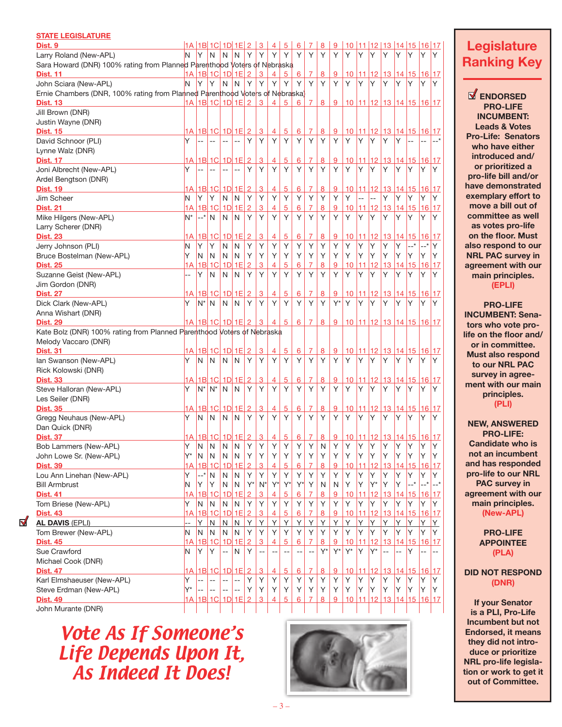| <b>STATE LEGISLATURE</b>                                                     |                          |              |                     |                         |                         |                     |                           |                |                |                 |                |                  |                |           |           |                |                                       |                |                        |           |            |
|------------------------------------------------------------------------------|--------------------------|--------------|---------------------|-------------------------|-------------------------|---------------------|---------------------------|----------------|----------------|-----------------|----------------|------------------|----------------|-----------|-----------|----------------|---------------------------------------|----------------|------------------------|-----------|------------|
| Dist. 9                                                                      |                          |              |                     |                         |                         |                     | <u>1A 1B 1C 1D 1E 2 3</u> | $\overline{4}$ | $\overline{5}$ | 6               | 7              | 8                | $\overline{9}$ | 10        |           |                | 11 12 13 14 15 16 17                  |                |                        |           |            |
| Larry Roland (New-APL)                                                       | N                        | Y            | N                   | N                       | N                       | Y                   | Υ                         | Υ              | Υ              | Υ               | Υ              | Y                | Y              | Υ         | Υ         | Y              | Y                                     | Y              | Y                      | Y         | Y          |
| Sara Howard (DNR) 100% rating from Planned Parenthood Voters of Nebraska     |                          |              |                     |                         |                         |                     |                           |                |                |                 |                |                  |                |           |           |                |                                       |                |                        |           |            |
| <b>Dist. 11</b>                                                              |                          |              |                     | 1A 1B 1C 1D 1E 2        |                         |                     | 3                         | 4              | 5              | 6               | 7              | 8                | 9              | 10        | 11 12     |                |                                       |                | 13 14 15               | 16 17     |            |
| John Sciara (New-APL)                                                        | N                        | Y            | Υ                   | N                       | N                       | Y                   | Υ                         | Υ              | Υ              | Υ               | Υ              | Y                | Y              | Y         | Υ         | Y              | Y                                     | Y              | Υ                      | Y         | Y          |
| Ernie Chambers (DNR, 100% rating from Planned Parenthood Voters of Nebraska) |                          |              |                     |                         |                         |                     |                           |                |                |                 |                |                  |                |           |           |                |                                       |                |                        |           |            |
| <b>Dist. 13</b>                                                              |                          |              |                     | 1A 1B 1C 1D 1E 2        |                         |                     | $\overline{3}$            | $\overline{4}$ | 5              | 6               | 7              | 8                | 9              |           |           |                | 10   11   12   13   14   15   16   17 |                |                        |           |            |
| Jill Brown (DNR)                                                             |                          |              |                     |                         |                         |                     |                           |                |                |                 |                |                  |                |           |           |                |                                       |                |                        |           |            |
| Justin Wayne (DNR)                                                           |                          |              |                     |                         |                         |                     |                           |                |                |                 |                |                  |                |           |           |                |                                       |                |                        |           |            |
| <b>Dist. 15</b>                                                              |                          |              |                     | 1A 1B 1C 1D 1E 2        |                         |                     | 3                         | $\overline{4}$ | 5              | <u>6</u>        | 7              | $\bf{8}$         | 9              | 10        |           | 11 12          |                                       |                | 13 14 15 16 17         |           |            |
| David Schnoor (PLI)                                                          | Y                        | --           |                     |                         | 44                      | Y                   | Υ                         | Υ              | Y              | Y               | Υ              | Y                | Y              | Υ         | Υ         | Y              | Y                                     | Y              |                        |           |            |
| Lynne Walz (DNR)                                                             |                          |              |                     |                         |                         |                     |                           |                |                |                 |                |                  |                |           |           |                |                                       |                |                        |           |            |
| <b>Dist. 17</b>                                                              |                          |              |                     | 1A 1B 1C 1D 1E 2        |                         |                     | 3                         | $\overline{4}$ | 5              | 6               | 7              | $\boldsymbol{8}$ | 9              | 10        |           | 11 12          |                                       |                | 13 14 15 16 17         |           |            |
| Joni Albrecht (New-APL)                                                      | Y                        | --           | $\overline{a}$      |                         | $\overline{a}$          | Y                   | Υ                         | Υ              | Υ              | Υ               | Υ              | Υ                | Y              | Υ         | Υ         | Y              | Υ                                     | Y              | Y                      | Y         | Υ          |
| Ardel Bengtson (DNR)                                                         |                          |              |                     |                         |                         |                     |                           |                |                |                 |                |                  |                |           |           |                |                                       |                |                        |           |            |
| <b>Dist. 19</b>                                                              |                          |              |                     | 1A 1B 1C 1D 1E 2        |                         |                     | 3                         | 4              | 5              | $6\phantom{1}6$ | 7              | 8                | 9              | 10        |           | 11 12          |                                       |                | <u>13 14 15 16 17</u>  |           |            |
| Jim Scheer                                                                   | N                        | Y            | Y                   | N                       | N                       | Y                   | Υ                         | Υ              | Υ              | Υ               | Υ              | Υ                | Υ              | Υ         |           | $\overline{a}$ | Y                                     | Y              | Υ                      | Υ         | Y          |
| <b>Dist. 21</b>                                                              | 1A                       |              | $1B$ 1C             | $1D$ 1E                 |                         | $\overline{2}$      | <u>3</u>                  | 4              | 5              | 6               | 7              | 8                | 9              | 10        | 11        | 12             | 13                                    |                | 14 15                  | 16 17     |            |
| Mike Hilgers (New-APL)                                                       | N <sup>*</sup>           | $--$ *       | N                   | N                       | N                       | Y                   | Υ                         | Υ              | Y              | Y               | Υ              | Υ                | Y              | Y         | Υ         | Y              | Υ                                     | Y              | Y                      | Y         | Υ          |
| Larry Scherer (DNR)                                                          |                          |              |                     |                         |                         |                     |                           |                |                |                 |                |                  |                |           |           |                |                                       |                |                        |           |            |
| <b>Dist. 23</b>                                                              | 1А                       |              |                     | 1B 1C  1D  1E           |                         | $\overline{2}$      | 3                         | 4              | 5              | 6               | 7              | 8                | 9              | 10        | 11        | $ 12\rangle$   |                                       |                | 13 14 15               | 16 17     |            |
| Jerry Johnson (PLI)                                                          | N                        | Y            | Υ                   | N                       | N                       | Υ                   | Υ                         | Υ              | Υ              | Υ               | Υ              | Υ                | Υ              | Υ         | Υ         | Υ              | Υ                                     | Y              | --*                    | $--$ *    | Y          |
| Bruce Bostelman (New-APL)                                                    | Y                        | N.           | N.                  | N                       | N                       | Υ                   | Υ                         | Υ              | Υ              | Υ               | Υ              | Υ                | Y              | Υ         | Υ         | Υ              | Υ                                     | Y              | Υ                      | Y         | Υ          |
| <b>Dist. 25</b>                                                              | 1А                       | 1B 1C        |                     | $1D$ 1E                 |                         | $\overline{2}$      | 3                         | 4              | 5              | 6               | 7              | 8                | 9              | 10        | 11        | 12             | 13                                    |                | 14 15                  | 16 17     |            |
| Suzanne Geist (New-APL)                                                      |                          | Y            | N                   | N                       | N                       | Υ                   | Υ                         | Υ              | Υ              | Υ               | Υ              | Υ                | Y              | Υ         | Υ         | Υ              | Υ                                     | Y              | Y                      | Y         | Υ          |
| Jim Gordon (DNR)                                                             |                          |              |                     |                         |                         |                     |                           |                |                |                 |                |                  |                |           |           |                |                                       |                |                        |           |            |
| <b>Dist. 27</b>                                                              | 1А                       | 1B  1C       |                     | $1D$ 1E                 |                         | $\overline{2}$      | 3                         | 4              | 5              | 6               | 7              | 8                | 9              | 10        | 11 12     |                |                                       |                | 13   14   15   16   17 |           |            |
| Dick Clark (New-APL)                                                         | Y                        | $N^*$        | N                   | N                       | N                       | Y                   | Υ                         | Υ              | Υ              | Υ               | Υ              | Y                | $Y^*$          | Υ         | Υ         | Y              | Y                                     | Y              | Y                      | Y         | Υ          |
| Anna Wishart (DNR)                                                           |                          |              |                     |                         |                         |                     |                           |                |                |                 |                |                  |                |           |           |                |                                       |                |                        |           |            |
| <b>Dist. 29</b>                                                              |                          |              |                     | 1A 1B 1C 1D 1E 2        |                         |                     | 3                         | 4              | 5              | 6               | 7              | 8                | 9              |           |           | 10 11 12       |                                       |                | 13 14 15 16 17         |           |            |
| Kate Bolz (DNR) 100% rating from Planned Parenthood Voters of Nebraska       |                          |              |                     |                         |                         |                     |                           |                |                |                 |                |                  |                |           |           |                |                                       |                |                        |           |            |
| Melody Vaccaro (DNR)                                                         |                          |              |                     |                         |                         |                     |                           |                |                |                 |                |                  |                |           |           |                |                                       |                |                        |           |            |
| <b>Dist. 31</b>                                                              |                          |              |                     | 1A 1B 1C 1D 1E          |                         | $\overline{2}$      | <u>3</u>                  | $\overline{4}$ | 5              | 6               | 7              | $\overline{8}$   | 9              | 10        |           | 11 12          |                                       |                | 13 14 15               | 16 17     |            |
| Ian Swanson (New-APL)                                                        | Y                        | N            | N                   | N                       | N                       | Y                   | Υ                         | Υ              | Y              | Y               | Υ              | Y                | Y              | Y         | Υ         | Y              | Υ                                     | Y              | Y                      | Y         | Υ          |
| Rick Kolowski (DNR)                                                          |                          |              |                     |                         |                         |                     |                           |                |                |                 |                |                  |                |           |           |                |                                       |                |                        |           |            |
| <b>Dist. 33</b>                                                              | 1А                       |              |                     | 1B 1C  1D  1E           |                         | $\overline{2}$      | 3                         | 4              | 5              | 6               | 7              | 8                | 9              | 10        |           | 11 12          | 13                                    |                | 14 15                  | 16 17     |            |
| Steve Halloran (New-APL)                                                     | Y                        | N*           | N*                  | N                       | N                       | Υ                   | Υ                         | Υ              | Υ              | Υ               | Υ              | Υ                | Υ              | Υ         | Υ         | Y              | Y                                     | Y              | Υ                      | Y         | Y          |
| Les Seiler (DNR)                                                             |                          |              |                     |                         |                         |                     |                           |                |                |                 |                |                  |                |           |           |                |                                       |                |                        |           |            |
| <b>Dist. 35</b>                                                              |                          |              |                     | 1A 1B 1C 1D 1E          |                         | $\overline{2}$      | 3                         | 4              | 5              | 6               | 7              | $\overline{8}$   | 9              | 10        | 11        | $ 12\rangle$   |                                       |                | 13 14 15 16 17         |           |            |
| Gregg Neuhaus (New-APL)                                                      | Y                        | N            | N                   | N                       | N                       | Y                   | Υ                         | Υ              | Y              | Υ               | Υ              | Υ                | Y              | Υ         | Υ         | Y              | Υ                                     | Y              | ΙY                     | Y         | Υ          |
| Dan Quick (DNR)                                                              |                          |              |                     |                         |                         |                     |                           |                |                |                 |                |                  |                |           |           |                |                                       |                |                        |           |            |
| <b>Dist. 37</b>                                                              |                          |              |                     | 1A 1B 1C 1D 1E 2        |                         |                     | $\overline{3}$            | 4              | $\overline{5}$ | 6               | $\overline{7}$ | 8                | 9              |           |           |                | <u>10 11 12 13 14 15 16 17</u>        |                |                        |           |            |
| Bob Lammers (New-APL)                                                        | Υ<br>Y*                  | N            | N                   | N                       | N                       | Υ                   | Υ                         | Υ              | Υ              | Υ               | Υ              | N                | Y              | Υ         | Υ         | Υ              | Υ                                     | Υ              | Υ                      | Υ         | Y          |
| John Lowe Sr. (New-APL)                                                      |                          | N            | N<br>1 <sup>C</sup> | $\mathsf{N}$<br>$1D$ 1E | N                       | Υ                   | Υ                         | Υ              | Υ              | Υ               | Υ              | Υ                | Υ              | Υ         | Υ         | Υ              | Υ                                     | Υ              | Υ                      | Υ         | Υ          |
| <b>Dist. 39</b><br>Lou Ann Linehan (New-APL)                                 | 1А<br>Υ                  | 1B<br>$--$ * | N                   | N                       | N                       | $\overline{2}$<br>Y | 3<br>Y                    | 4<br>Y         | 5<br>Y         | 6<br>Y          | Υ              | $\bf{8}$<br>Υ    | 9<br>Υ         | 10<br>Y   | 11<br>Υ   | 12<br>Υ        | 13<br>Υ                               | 14 15<br>Υ     | Υ                      | 16<br>Υ   | 17<br>Y    |
| <b>Bill Armbrust</b>                                                         | N                        | Y            | Υ                   | $\mathsf{N}$            | $\mathsf{N}$            | $Y^*$               | $N^*$                     | Y*             | $Y^*$          | Y*              | Υ              | N                | N              | Υ         | Υ         | $Y^*$          | Υ                                     | Y              | *                      | $--$ *    | __*        |
| <b>Dist. 41</b>                                                              | 1А                       | 1B           | 1C                  | $1D$ 1E                 |                         | $\overline{2}$      | 3                         | 4              | 5              | 6               |                | 8                | 9              | 10        | 11        | 12             | 13                                    |                | 14 15                  | <u>16</u> | <u> 17</u> |
| Tom Briese (New-APL)                                                         | Υ                        | N            | N                   | N                       | N                       | Y                   | Υ                         | Υ              | Y              | Y               | Υ              | Υ                | Y              | Y         | Υ         | Υ              | Υ                                     | Υ              | Υ                      | Y         | Y          |
| <b>Dist. 43</b>                                                              | 1A                       | $1B$ 1C      |                     | $1D$ 1E                 |                         | $\overline{2}$      | 3                         | 4              | 5              | 6               |                | 8                | 9              | 10        | 11        | 12             | 13                                    |                | 14 15                  | 16 17     |            |
| <b>AL DAVIS (EPLI)</b>                                                       | $\overline{\phantom{a}}$ | Y            | N                   | N                       | $\overline{\mathsf{N}}$ | $\overline{Y}$      | Υ                         | Υ              | Υ              | Υ               | Υ              | Y                | <u>Y</u>       | Υ         | Υ         | Y              | Υ                                     | Y              | Y                      | Y         | <u>Y</u>   |
| Tom Brewer (New-APL)                                                         | N                        | N            | N                   | N                       | N                       | Y                   | Υ                         | Υ              | Y              | Y               | Υ              | Υ                | Y              | Υ         | Υ         | Υ              | Υ                                     | Υ              | Υ                      | Y         | Y          |
| <b>Dist. 45</b>                                                              | 1А                       | 1B 1C        |                     | $1D$ 1E                 |                         | $\overline{2}$      | 3                         | 4              | 5              | 6               | 7              | 8                | 9              | 10        | 11        | 12             | 13 <sub>1</sub>                       | 14             | 15 <sub>1</sub>        | 16 17     |            |
| Sue Crawford                                                                 | N                        | Υ            | Υ                   | --                      | N                       | Υ                   | $\overline{a}$            |                |                |                 |                | $Y^*$            | $Y^*$          | $Y^*$     | Υ         | Y*             | $\overline{a}$                        | $\overline{a}$ | Y                      |           |            |
| Michael Cook (DNR)                                                           |                          |              |                     |                         |                         |                     |                           |                |                |                 |                |                  |                |           |           |                |                                       |                |                        |           |            |
| <b>Dist. 47</b>                                                              | 1A                       |              |                     | 1B 1C 1D 1E 2           |                         |                     | 3                         | $\overline{4}$ | 5              | 6               | 7              | $\overline{8}$   | 9              | <u>10</u> | <u>11</u> | 12             | 13                                    |                | 14 15                  | 16 17     |            |
| Karl Elmshaeuser (New-APL)                                                   | Υ                        |              |                     |                         |                         | Υ                   | Υ                         | Υ              | Y              | Y               | Y              | Υ                | Y              | Υ         | Υ         | Υ              | Υ                                     | Y              | Υ                      | Υ         | Y          |
| Steve Erdman (New-APL)                                                       | Y*                       |              |                     | $- -$                   | --                      | Υ                   | Υ                         | Υ              | Y              | Υ               | Υ              | Υ                | Y              | Υ         | Υ         | Υ              | Υ                                     | Υ              | Υ                      | Y         | Y          |
| <b>Dist. 49</b>                                                              |                          |              |                     | 1A   1B  1C  1D  1E     |                         | $\overline{2}$      | 3                         | 4              | 5              | 6               | 7              | 8                | 9              | 10        | 11 12     |                |                                       |                | $13$ 14 15             | 16 17     |            |
| John Murante (DNR)                                                           |                          |              |                     |                         |                         |                     |                           |                |                |                 |                |                  |                |           |           |                |                                       |                |                        |           |            |

 $\mathbf{N}$ 

# Vote As If Someone's Life Depends Upon It, As Indeed It Does!



# **Legislature Ranking Key**

**ENDORSED PRO-LIFE INCUMBENT: Leads & Votes Pro-Life: Senators who have either introduced and/ or prioritized a pro-life bill and/or have demonstrated exemplary effort to move a bill out of committee as well as votes pro-life on the floor. Must also respond to our NRL PAC survey in agreement with our main principles. (EPLI)**

**PRO-LIFE INCUMBENT: Senators who vote prolife on the floor and/ or in committee. Must also respond to our NRL PAC survey in agreement with our main principles. (PLI)**

**NEW, ANSWERED PRO-LIFE: Candidate who is not an incumbent and has responded pro-life to our NRL PAC survey in agreement with our main principles. (New-APL)**

> **PRO-LIFE APPOINTEE (PLA)**

**DID NOT RESPOND (DNR)**

**If your Senator is a PLI, Pro-Life Incumbent but not Endorsed, it means they did not introduce or prioritize NRL pro-life legislation or work to get it out of Committee.**